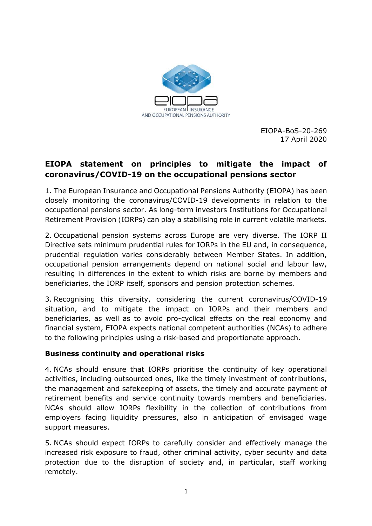

EIOPA-BoS-20-269 17 April 2020

# **EIOPA statement on principles to mitigate the impact of coronavirus/COVID-19 on the occupational pensions sector**

1. The European Insurance and Occupational Pensions Authority (EIOPA) has been closely monitoring the coronavirus/COVID-19 developments in relation to the occupational pensions sector. As long-term investors Institutions for Occupational Retirement Provision (IORPs) can play a stabilising role in current volatile markets.

2. Occupational pension systems across Europe are very diverse. The IORP II Directive sets minimum prudential rules for IORPs in the EU and, in consequence, prudential regulation varies considerably between Member States. In addition, occupational pension arrangements depend on national social and labour law, resulting in differences in the extent to which risks are borne by members and beneficiaries, the IORP itself, sponsors and pension protection schemes.

3. Recognising this diversity, considering the current coronavirus/COVID-19 situation, and to mitigate the impact on IORPs and their members and beneficiaries, as well as to avoid pro-cyclical effects on the real economy and financial system, EIOPA expects national competent authorities (NCAs) to adhere to the following principles using a risk-based and proportionate approach.

## **Business continuity and operational risks**

4. NCAs should ensure that IORPs prioritise the continuity of key operational activities, including outsourced ones, like the timely investment of contributions, the management and safekeeping of assets, the timely and accurate payment of retirement benefits and service continuity towards members and beneficiaries. NCAs should allow IORPs flexibility in the collection of contributions from employers facing liquidity pressures, also in anticipation of envisaged wage support measures.

5. NCAs should expect IORPs to carefully consider and effectively manage the increased risk exposure to fraud, other criminal activity, cyber security and data protection due to the disruption of society and, in particular, staff working remotely.